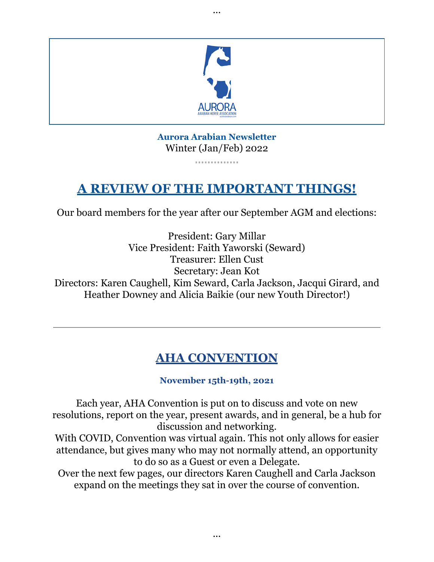

...

# **Aurora Arabian Newsletter** Winter (Jan/Feb) 2022

..............

# **A REVIEW OF THE IMPORTANT THINGS!**

Our board members for the year after our September AGM and elections:

President: Gary Millar Vice President: Faith Yaworski (Seward) Treasurer: Ellen Cust Secretary: Jean Kot Directors: Karen Caughell, Kim Seward, Carla Jackson, Jacqui Girard, and Heather Downey and Alicia Baikie (our new Youth Director!)

# **AHA CONVENTION**

# **November 15th-19th, 2021**

Each year, AHA Convention is put on to discuss and vote on new resolutions, report on the year, present awards, and in general, be a hub for discussion and networking. With COVID, Convention was virtual again. This not only allows for easier attendance, but gives many who may not normally attend, an opportunity

to do so as a Guest or even a Delegate. Over the next few pages, our directors Karen Caughell and Carla Jackson expand on the meetings they sat in over the course of convention.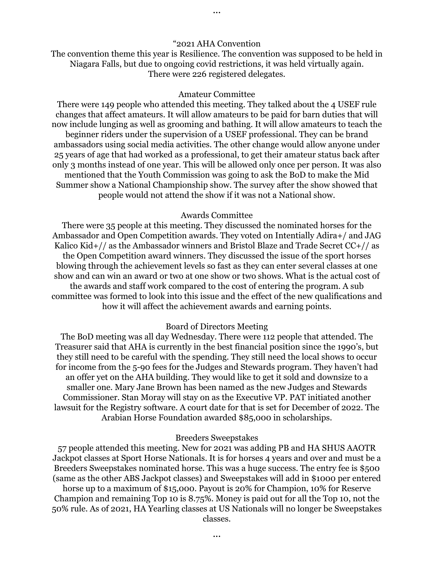#### "2021 AHA Convention

The convention theme this year is Resilience. The convention was supposed to be held in Niagara Falls, but due to ongoing covid restrictions, it was held virtually again. There were 226 registered delegates.

#### Amateur Committee

There were 149 people who attended this meeting. They talked about the 4 USEF rule changes that affect amateurs. It will allow amateurs to be paid for barn duties that will now include lunging as well as grooming and bathing. It will allow amateurs to teach the beginner riders under the supervision of a USEF professional. They can be brand ambassadors using social media activities. The other change would allow anyone under 25 years of age that had worked as a professional, to get their amateur status back after only 3 months instead of one year. This will be allowed only once per person. It was also mentioned that the Youth Commission was going to ask the BoD to make the Mid Summer show a National Championship show. The survey after the show showed that people would not attend the show if it was not a National show.

#### Awards Committee

There were 35 people at this meeting. They discussed the nominated horses for the Ambassador and Open Competition awards. They voted on Intentially Adira+/ and JAG Kalico Kid+// as the Ambassador winners and Bristol Blaze and Trade Secret  $CC+//$  as the Open Competition award winners. They discussed the issue of the sport horses blowing through the achievement levels so fast as they can enter several classes at one show and can win an award or two at one show or two shows. What is the actual cost of the awards and staff work compared to the cost of entering the program. A sub committee was formed to look into this issue and the effect of the new qualifications and how it will affect the achievement awards and earning points.

#### Board of Directors Meeting

The BoD meeting was all day Wednesday. There were 112 people that attended. The Treasurer said that AHA is currently in the best financial position since the 1990's, but they still need to be careful with the spending. They still need the local shows to occur for income from the 5-90 fees for the Judges and Stewards program. They haven't had an offer yet on the AHA building. They would like to get it sold and downsize to a smaller one. Mary Jane Brown has been named as the new Judges and Stewards Commissioner. Stan Moray will stay on as the Executive VP. PAT initiated another lawsuit for the Registry software. A court date for that is set for December of 2022. The Arabian Horse Foundation awarded \$85,000 in scholarships.

#### Breeders Sweepstakes

57 people attended this meeting. New for 2021 was adding PB and HA SHUS AAOTR Jackpot classes at Sport Horse Nationals. It is for horses 4 years and over and must be a Breeders Sweepstakes nominated horse. This was a huge success. The entry fee is \$500 (same as the other ABS Jackpot classes) and Sweepstakes will add in \$1000 per entered horse up to a maximum of \$15,000. Payout is 20% for Champion, 10% for Reserve Champion and remaining Top 10 is 8.75%. Money is paid out for all the Top 10, not the 50% rule. As of 2021, HA Yearling classes at US Nationals will no longer be Sweepstakes classes.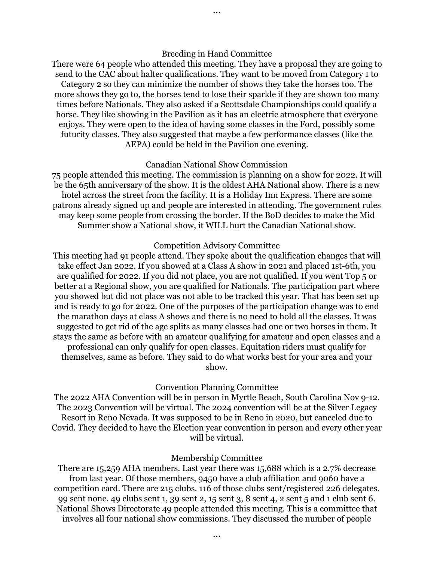...

There were 64 people who attended this meeting. They have a proposal they are going to send to the CAC about halter qualifications. They want to be moved from Category 1 to Category 2 so they can minimize the number of shows they take the horses too. The more shows they go to, the horses tend to lose their sparkle if they are shown too many times before Nationals. They also asked if a Scottsdale Championships could qualify a horse. They like showing in the Pavilion as it has an electric atmosphere that everyone enjoys. They were open to the idea of having some classes in the Ford, possibly some futurity classes. They also suggested that maybe a few performance classes (like the AEPA) could be held in the Pavilion one evening.

#### Canadian National Show Commission

75 people attended this meeting. The commission is planning on a show for 2022. It will be the 65th anniversary of the show. It is the oldest AHA National show. There is a new hotel across the street from the facility. It is a Holiday Inn Express. There are some patrons already signed up and people are interested in attending. The government rules may keep some people from crossing the border. If the BoD decides to make the Mid Summer show a National show, it WILL hurt the Canadian National show.

#### Competition Advisory Committee

This meeting had 91 people attend. They spoke about the qualification changes that will take effect Jan 2022. If you showed at a Class A show in 2021 and placed 1st-6th, you are qualified for 2022. If you did not place, you are not qualified. If you went Top 5 or better at a Regional show, you are qualified for Nationals. The participation part where you showed but did not place was not able to be tracked this year. That has been set up and is ready to go for 2022. One of the purposes of the participation change was to end the marathon days at class A shows and there is no need to hold all the classes. It was suggested to get rid of the age splits as many classes had one or two horses in them. It stays the same as before with an amateur qualifying for amateur and open classes and a professional can only qualify for open classes. Equitation riders must qualify for themselves, same as before. They said to do what works best for your area and your show.

#### Convention Planning Committee

The 2022 AHA Convention will be in person in Myrtle Beach, South Carolina Nov 9-12. The 2023 Convention will be virtual. The 2024 convention will be at the Silver Legacy Resort in Reno Nevada. It was supposed to be in Reno in 2020, but canceled due to Covid. They decided to have the Election year convention in person and every other year will be virtual.

#### Membership Committee

There are 15,259 AHA members. Last year there was 15,688 which is a 2.7% decrease from last year. Of those members, 9450 have a club affiliation and 9060 have a competition card. There are 215 clubs. 116 of those clubs sent/registered 226 delegates. 99 sent none. 49 clubs sent 1, 39 sent 2, 15 sent 3, 8 sent 4, 2 sent 5 and 1 club sent 6. National Shows Directorate 49 people attended this meeting. This is a committee that involves all four national show commissions. They discussed the number of people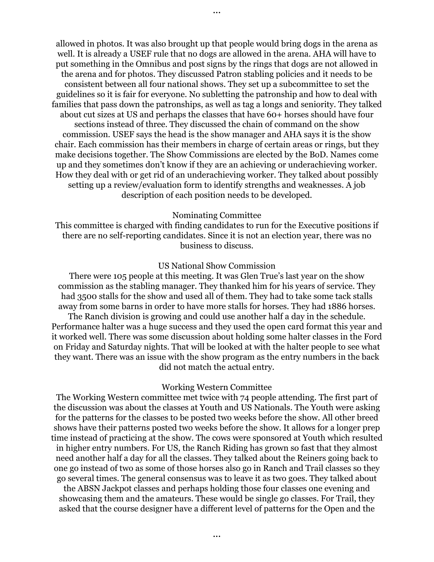allowed in photos. It was also brought up that people would bring dogs in the arena as well. It is already a USEF rule that no dogs are allowed in the arena. AHA will have to put something in the Omnibus and post signs by the rings that dogs are not allowed in the arena and for photos. They discussed Patron stabling policies and it needs to be consistent between all four national shows. They set up a subcommittee to set the guidelines so it is fair for everyone. No subletting the patronship and how to deal with families that pass down the patronships, as well as tag a longs and seniority. They talked about cut sizes at US and perhaps the classes that have 60+ horses should have four sections instead of three. They discussed the chain of command on the show commission. USEF says the head is the show manager and AHA says it is the show chair. Each commission has their members in charge of certain areas or rings, but they make decisions together. The Show Commissions are elected by the BoD. Names come up and they sometimes don't know if they are an achieving or underachieving worker. How they deal with or get rid of an underachieving worker. They talked about possibly setting up a review/evaluation form to identify strengths and weaknesses. A job description of each position needs to be developed.

...

#### Nominating Committee

This committee is charged with finding candidates to run for the Executive positions if there are no self-reporting candidates. Since it is not an election year, there was no business to discuss.

### US National Show Commission

There were 105 people at this meeting. It was Glen True's last year on the show commission as the stabling manager. They thanked him for his years of service. They had 3500 stalls for the show and used all of them. They had to take some tack stalls away from some barns in order to have more stalls for horses. They had 1886 horses. The Ranch division is growing and could use another half a day in the schedule. Performance halter was a huge success and they used the open card format this year and it worked well. There was some discussion about holding some halter classes in the Ford on Friday and Saturday nights. That will be looked at with the halter people to see what they want. There was an issue with the show program as the entry numbers in the back did not match the actual entry.

#### Working Western Committee

The Working Western committee met twice with 74 people attending. The first part of the discussion was about the classes at Youth and US Nationals. The Youth were asking for the patterns for the classes to be posted two weeks before the show. All other breed shows have their patterns posted two weeks before the show. It allows for a longer prep time instead of practicing at the show. The cows were sponsored at Youth which resulted in higher entry numbers. For US, the Ranch Riding has grown so fast that they almost need another half a day for all the classes. They talked about the Reiners going back to one go instead of two as some of those horses also go in Ranch and Trail classes so they go several times. The general consensus was to leave it as two goes. They talked about

the ABSN Jackpot classes and perhaps holding those four classes one evening and showcasing them and the amateurs. These would be single go classes. For Trail, they asked that the course designer have a different level of patterns for the Open and the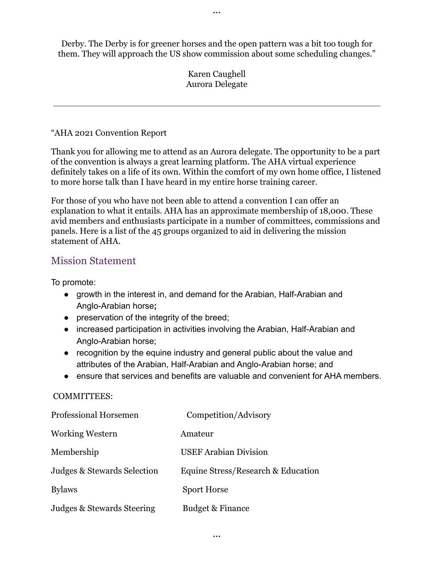Derby. The Derby is for greener horses and the open pattern was a bit too tough for them. They will approach the US show commission about some scheduling changes."

...

Karen Caughell Aurora Delegate

### "AHA 2021 Convention Report

Thank you for allowing me to attend as an Aurora delegate. The opportunity to be a part of the convention is always a great learning platform. The AHA virtual experience definitely takes on a life of its own. Within the comfort of my own home office, I listened to more horse talk than I have heard in my entire horse training career.

For those of you who have not been able to attend a convention I can offer an explanation to what it entails. AHA has an approximate membership of 18,000. These avid members and enthusiasts participate in a number of committees, commissions and panels. Here is a list of the 45 groups organized to aid in delivering the mission statement of AHA.

# Mission Statement

To promote:

- growth in the interest in, and demand for the Arabian, Half-Arabian and Anglo-Arabian horse**;**
- preservation of the integrity of the breed;
- increased participation in activities involving the Arabian, Half-Arabian and Anglo-Arabian horse;
- recognition by the equine industry and general public about the value and attributes of the Arabian, Half-Arabian and Anglo-Arabian horse; and
- ensure that services and benefits are valuable and convenient for AHA members.

### COMMITTEES:

| <b>Professional Horsemen</b> | Competition/Advisory               |
|------------------------------|------------------------------------|
| <b>Working Western</b>       | Amateur                            |
| Membership                   | <b>USEF Arabian Division</b>       |
| Judges & Stewards Selection  | Equine Stress/Research & Education |
| <b>Bylaws</b>                | <b>Sport Horse</b>                 |
| Judges & Stewards Steering   | <b>Budget &amp; Finance</b>        |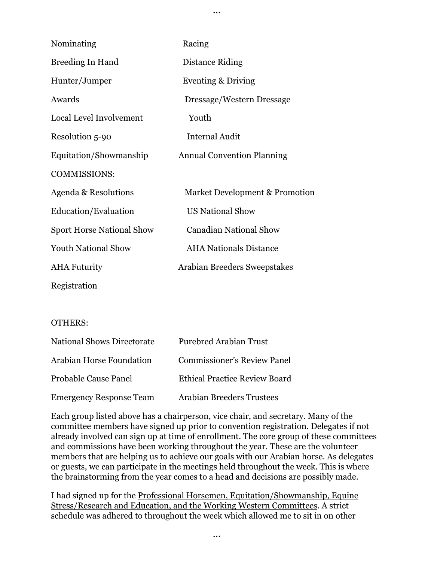| Nominating                       | Racing                              |
|----------------------------------|-------------------------------------|
| <b>Breeding In Hand</b>          | <b>Distance Riding</b>              |
| Hunter/Jumper                    | Eventing & Driving                  |
| Awards                           | Dressage/Western Dressage           |
| Local Level Involvement          | Youth                               |
| Resolution 5-90                  | <b>Internal Audit</b>               |
| Equitation/Showmanship           | <b>Annual Convention Planning</b>   |
| <b>COMMISSIONS:</b>              |                                     |
| Agenda & Resolutions             | Market Development & Promotion      |
| Education/Evaluation             | <b>US National Show</b>             |
| <b>Sport Horse National Show</b> | <b>Canadian National Show</b>       |
| <b>Youth National Show</b>       | <b>AHA Nationals Distance</b>       |
| <b>AHA Futurity</b>              | <b>Arabian Breeders Sweepstakes</b> |
| Registration                     |                                     |

...

#### OTHERS:

| <b>National Shows Directorate</b> | <b>Purebred Arabian Trust</b>        |
|-----------------------------------|--------------------------------------|
| <b>Arabian Horse Foundation</b>   | <b>Commissioner's Review Panel</b>   |
| Probable Cause Panel              | <b>Ethical Practice Review Board</b> |
| <b>Emergency Response Team</b>    | <b>Arabian Breeders Trustees</b>     |

Each group listed above has a chairperson, vice chair, and secretary. Many of the committee members have signed up prior to convention registration. Delegates if not already involved can sign up at time of enrollment. The core group of these committees and commissions have been working throughout the year. These are the volunteer members that are helping us to achieve our goals with our Arabian horse. As delegates or guests, we can participate in the meetings held throughout the week. This is where the brainstorming from the year comes to a head and decisions are possibly made.

I had signed up for the Professional Horsemen, Equitation/Showmanship, Equine Stress/Research and Education, and the Working Western Committees. A strict schedule was adhered to throughout the week which allowed me to sit in on other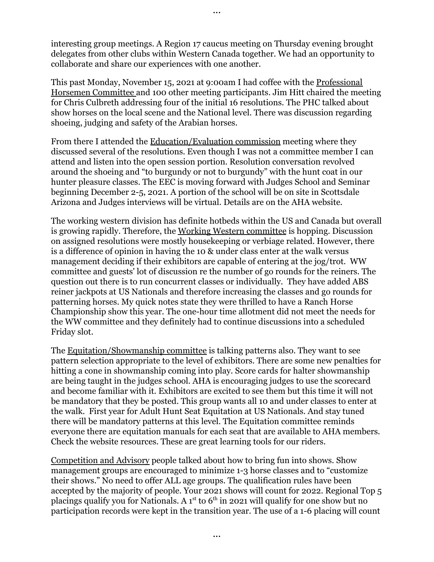interesting group meetings. A Region 17 caucus meeting on Thursday evening brought delegates from other clubs within Western Canada together. We had an opportunity to collaborate and share our experiences with one another.

This past Monday, November 15, 2021 at 9:00am I had coffee with the Professional Horsemen Committee and 100 other meeting participants. Jim Hitt chaired the meeting for Chris Culbreth addressing four of the initial 16 resolutions. The PHC talked about show horses on the local scene and the National level. There was discussion regarding shoeing, judging and safety of the Arabian horses.

From there I attended the Education/Evaluation commission meeting where they discussed several of the resolutions. Even though I was not a committee member I can attend and listen into the open session portion. Resolution conversation revolved around the shoeing and "to burgundy or not to burgundy" with the hunt coat in our hunter pleasure classes. The EEC is moving forward with Judges School and Seminar beginning December 2-5, 2021. A portion of the school will be on site in Scottsdale Arizona and Judges interviews will be virtual. Details are on the AHA website.

The working western division has definite hotbeds within the US and Canada but overall is growing rapidly. Therefore, the Working Western committee is hopping. Discussion on assigned resolutions were mostly housekeeping or verbiage related. However, there is a difference of opinion in having the 10 & under class enter at the walk versus management deciding if their exhibitors are capable of entering at the jog/trot. WW committee and guests' lot of discussion re the number of go rounds for the reiners. The question out there is to run concurrent classes or individually. They have added ABS reiner jackpots at US Nationals and therefore increasing the classes and go rounds for patterning horses. My quick notes state they were thrilled to have a Ranch Horse Championship show this year. The one-hour time allotment did not meet the needs for the WW committee and they definitely had to continue discussions into a scheduled Friday slot.

The Equitation/Showmanship committee is talking patterns also. They want to see pattern selection appropriate to the level of exhibitors. There are some new penalties for hitting a cone in showmanship coming into play. Score cards for halter showmanship are being taught in the judges school. AHA is encouraging judges to use the scorecard and become familiar with it. Exhibitors are excited to see them but this time it will not be mandatory that they be posted. This group wants all 10 and under classes to enter at the walk. First year for Adult Hunt Seat Equitation at US Nationals. And stay tuned there will be mandatory patterns at this level. The Equitation committee reminds everyone there are equitation manuals for each seat that are available to AHA members. Check the website resources. These are great learning tools for our riders.

Competition and Advisory people talked about how to bring fun into shows. Show management groups are encouraged to minimize 1-3 horse classes and to "customize their shows." No need to offer ALL age groups. The qualification rules have been accepted by the majority of people. Your 2021 shows will count for 2022. Regional Top 5 placings qualify you for Nationals. A 1<sup>st</sup> to  $6<sup>th</sup>$  in 2021 will qualify for one show but no participation records were kept in the transition year. The use of a 1-6 placing will count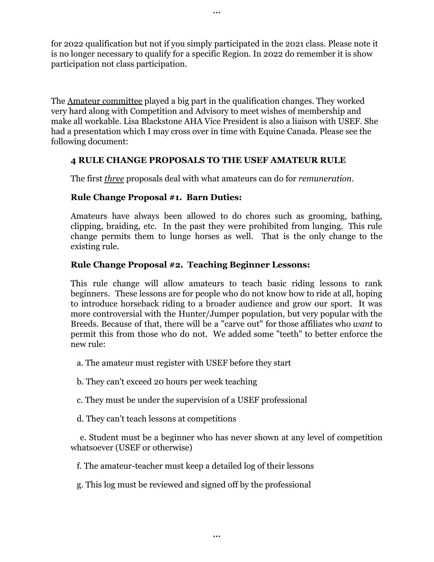for 2022 qualification but not if you simply participated in the 2021 class. Please note it is no longer necessary to qualify for a specific Region. In 2022 do remember it is show participation not class participation.

The **Amateur committee** played a big part in the qualification changes. They worked very hard along with Competition and Advisory to meet wishes of membership and make all workable. Lisa Blackstone AHA Vice President is also a liaison with USEF. She had a presentation which I may cross over in time with Equine Canada. Please see the following document:

## **4 RULE CHANGE PROPOSALS TO THE USEF AMATEUR RULE**

The first *three* proposals deal with what amateurs can do for *remuneration*.

## **Rule Change Proposal #1. Barn Duties:**

Amateurs have always been allowed to do chores such as grooming, bathing, clipping, braiding, etc. In the past they were prohibited from lunging. This rule change permits them to lunge horses as well. That is the only change to the existing rule.

## **Rule Change Proposal #2. Teaching Beginner Lessons:**

This rule change will allow amateurs to teach basic riding lessons to rank beginners. These lessons are for people who do not know how to ride at all, hoping to introduce horseback riding to a broader audience and grow our sport. It was more controversial with the Hunter/Jumper population, but very popular with the Breeds. Because of that, there will be a "carve out" for those affiliates who *want* to permit this from those who do not. We added some "teeth" to better enforce the new rule:

a. The amateur must register with USEF before they start

b. They can't exceed 20 hours per week teaching

c. They must be under the supervision of a USEF professional

d. They can't teach lessons at competitions

e. Student must be a beginner who has never shown at any level of competition whatsoever (USEF or otherwise)

f. The amateur-teacher must keep a detailed log of their lessons

g. This log must be reviewed and signed off by the professional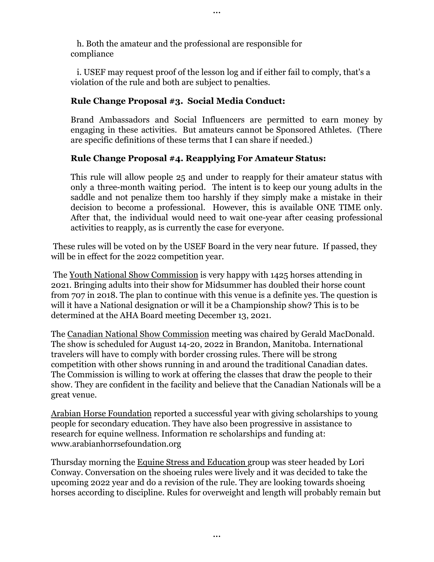h. Both the amateur and the professional are responsible for compliance

i. USEF may request proof of the lesson log and if either fail to comply, that's a violation of the rule and both are subject to penalties.

...

## **Rule Change Proposal #3. Social Media Conduct:**

Brand Ambassadors and Social Influencers are permitted to earn money by engaging in these activities. But amateurs cannot be Sponsored Athletes. (There are specific definitions of these terms that I can share if needed.)

## **Rule Change Proposal #4. Reapplying For Amateur Status:**

This rule will allow people 25 and under to reapply for their amateur status with only a three-month waiting period. The intent is to keep our young adults in the saddle and not penalize them too harshly if they simply make a mistake in their decision to become a professional. However, this is available ONE TIME only. After that, the individual would need to wait one-year after ceasing professional activities to reapply, as is currently the case for everyone.

These rules will be voted on by the USEF Board in the very near future. If passed, they will be in effect for the 2022 competition year.

The Youth National Show Commission is very happy with 1425 horses attending in 2021. Bringing adults into their show for Midsummer has doubled their horse count from 707 in 2018. The plan to continue with this venue is a definite yes. The question is will it have a National designation or will it be a Championship show? This is to be determined at the AHA Board meeting December 13, 2021.

The Canadian National Show Commission meeting was chaired by Gerald MacDonald. The show is scheduled for August 14-20, 2022 in Brandon, Manitoba. International travelers will have to comply with border crossing rules. There will be strong competition with other shows running in and around the traditional Canadian dates. The Commission is willing to work at offering the classes that draw the people to their show. They are confident in the facility and believe that the Canadian Nationals will be a great venue.

Arabian Horse Foundation reported a successful year with giving scholarships to young people for secondary education. They have also been progressive in assistance to research for equine wellness. Information re scholarships and funding at: www.arabianhorrsefoundation.org

Thursday morning the Equine Stress and Education group was steer headed by Lori Conway. Conversation on the shoeing rules were lively and it was decided to take the upcoming 2022 year and do a revision of the rule. They are looking towards shoeing horses according to discipline. Rules for overweight and length will probably remain but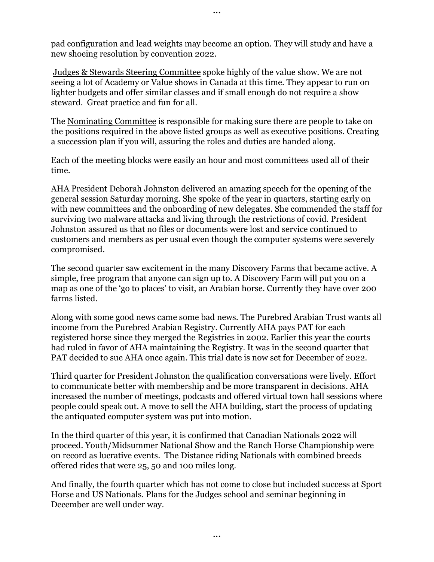pad configuration and lead weights may become an option. They will study and have a new shoeing resolution by convention 2022.

Judges & Stewards Steering Committee spoke highly of the value show. We are not seeing a lot of Academy or Value shows in Canada at this time. They appear to run on lighter budgets and offer similar classes and if small enough do not require a show steward. Great practice and fun for all.

The Nominating Committee is responsible for making sure there are people to take on the positions required in the above listed groups as well as executive positions. Creating a succession plan if you will, assuring the roles and duties are handed along.

Each of the meeting blocks were easily an hour and most committees used all of their time.

AHA President Deborah Johnston delivered an amazing speech for the opening of the general session Saturday morning. She spoke of the year in quarters, starting early on with new committees and the onboarding of new delegates. She commended the staff for surviving two malware attacks and living through the restrictions of covid. President Johnston assured us that no files or documents were lost and service continued to customers and members as per usual even though the computer systems were severely compromised.

The second quarter saw excitement in the many Discovery Farms that became active. A simple, free program that anyone can sign up to. A Discovery Farm will put you on a map as one of the 'go to places' to visit, an Arabian horse. Currently they have over 200 farms listed.

Along with some good news came some bad news. The Purebred Arabian Trust wants all income from the Purebred Arabian Registry. Currently AHA pays PAT for each registered horse since they merged the Registries in 2002. Earlier this year the courts had ruled in favor of AHA maintaining the Registry. It was in the second quarter that PAT decided to sue AHA once again. This trial date is now set for December of 2022.

Third quarter for President Johnston the qualification conversations were lively. Effort to communicate better with membership and be more transparent in decisions. AHA increased the number of meetings, podcasts and offered virtual town hall sessions where people could speak out. A move to sell the AHA building, start the process of updating the antiquated computer system was put into motion.

In the third quarter of this year, it is confirmed that Canadian Nationals 2022 will proceed. Youth/Midsummer National Show and the Ranch Horse Championship were on record as lucrative events. The Distance riding Nationals with combined breeds offered rides that were 25, 50 and 100 miles long.

And finally, the fourth quarter which has not come to close but included success at Sport Horse and US Nationals. Plans for the Judges school and seminar beginning in December are well under way.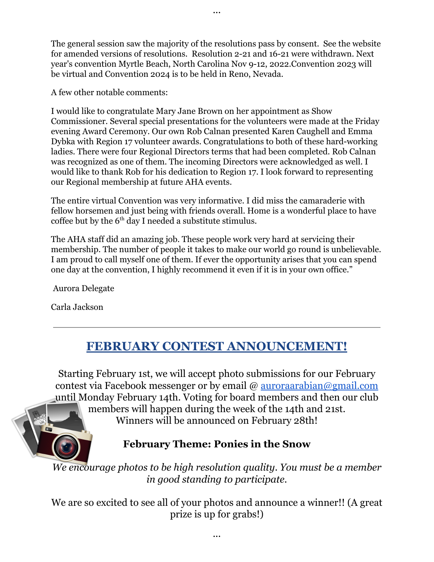The general session saw the majority of the resolutions pass by consent. See the website for amended versions of resolutions. Resolution 2-21 and 16-21 were withdrawn. Next year's convention Myrtle Beach, North Carolina Nov 9-12, 2022.Convention 2023 will be virtual and Convention 2024 is to be held in Reno, Nevada.

A few other notable comments:

I would like to congratulate Mary Jane Brown on her appointment as Show Commissioner. Several special presentations for the volunteers were made at the Friday evening Award Ceremony. Our own Rob Calnan presented Karen Caughell and Emma Dybka with Region 17 volunteer awards. Congratulations to both of these hard-working ladies. There were four Regional Directors terms that had been completed. Rob Calnan was recognized as one of them. The incoming Directors were acknowledged as well. I would like to thank Rob for his dedication to Region 17. I look forward to representing our Regional membership at future AHA events.

The entire virtual Convention was very informative. I did miss the camaraderie with fellow horsemen and just being with friends overall. Home is a wonderful place to have coffee but by the  $6<sup>th</sup>$  day I needed a substitute stimulus.

The AHA staff did an amazing job. These people work very hard at servicing their membership. The number of people it takes to make our world go round is unbelievable. I am proud to call myself one of them. If ever the opportunity arises that you can spend one day at the convention, I highly recommend it even if it is in your own office."

Aurora Delegate

Carla Jackson

# **FEBRUARY CONTEST ANNOUNCEMENT!**

Starting February 1st, we will accept photo submissions for our February contest via Facebook messenger or by email @ [auroraarabian@gmail.com](mailto:auroraarabian@gmail.com) until Monday February 14th. Voting for board members and then our club members will happen during the week of the 14th and 21st. Winners will be announced on February 28th!

# **February Theme: Ponies in the Snow**

*We encourage photos to be high resolution quality*. *You must be a member in good standing to participate.*

We are so excited to see all of your photos and announce a winner!! (A great prize is up for grabs!)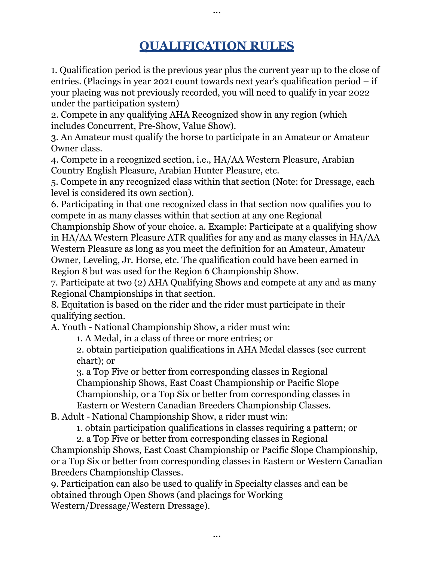# **QUALIFICATION RULES**

1. Qualification period is the previous year plus the current year up to the close of entries. (Placings in year 2021 count towards next year's qualification period – if your placing was not previously recorded, you will need to qualify in year 2022 under the participation system)

2. Compete in any qualifying AHA Recognized show in any region (which includes Concurrent, Pre-Show, Value Show).

3. An Amateur must qualify the horse to participate in an Amateur or Amateur Owner class.

4. Compete in a recognized section, i.e., HA/AA Western Pleasure, Arabian Country English Pleasure, Arabian Hunter Pleasure, etc.

5. Compete in any recognized class within that section (Note: for Dressage, each level is considered its own section).

6. Participating in that one recognized class in that section now qualifies you to compete in as many classes within that section at any one Regional

Championship Show of your choice. a. Example: Participate at a qualifying show in HA/AA Western Pleasure ATR qualifies for any and as many classes in HA/AA Western Pleasure as long as you meet the definition for an Amateur, Amateur Owner, Leveling, Jr. Horse, etc. The qualification could have been earned in Region 8 but was used for the Region 6 Championship Show.

7. Participate at two (2) AHA Qualifying Shows and compete at any and as many Regional Championships in that section.

8. Equitation is based on the rider and the rider must participate in their qualifying section.

A. Youth - National Championship Show, a rider must win:

1. A Medal, in a class of three or more entries; or

2. obtain participation qualifications in AHA Medal classes (see current chart); or

3. a Top Five or better from corresponding classes in Regional Championship Shows, East Coast Championship or Pacific Slope Championship, or a Top Six or better from corresponding classes in Eastern or Western Canadian Breeders Championship Classes.

B. Adult - National Championship Show, a rider must win:

1. obtain participation qualifications in classes requiring a pattern; or

2. a Top Five or better from corresponding classes in Regional Championship Shows, East Coast Championship or Pacific Slope Championship, or a Top Six or better from corresponding classes in Eastern or Western Canadian Breeders Championship Classes.

...

9. Participation can also be used to qualify in Specialty classes and can be obtained through Open Shows (and placings for Working Western/Dressage/Western Dressage).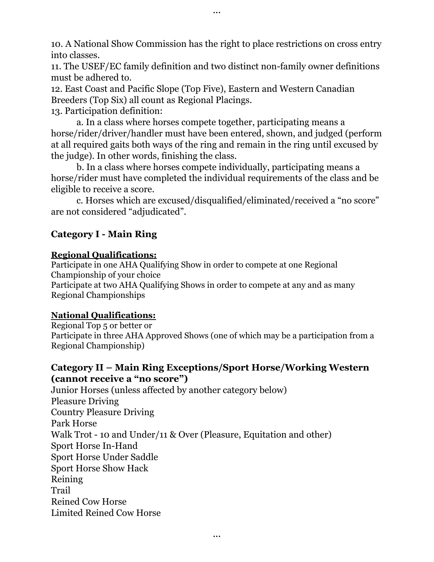10. A National Show Commission has the right to place restrictions on cross entry into classes.

11. The USEF/EC family definition and two distinct non-family owner definitions must be adhered to.

12. East Coast and Pacific Slope (Top Five), Eastern and Western Canadian Breeders (Top Six) all count as Regional Placings.

13. Participation definition:

a. In a class where horses compete together, participating means a horse/rider/driver/handler must have been entered, shown, and judged (perform at all required gaits both ways of the ring and remain in the ring until excused by the judge). In other words, finishing the class.

b. In a class where horses compete individually, participating means a horse/rider must have completed the individual requirements of the class and be eligible to receive a score.

c. Horses which are excused/disqualified/eliminated/received a "no score" are not considered "adjudicated".

# **Category I - Main Ring**

## **Regional Qualifications:**

Participate in one AHA Qualifying Show in order to compete at one Regional Championship of your choice Participate at two AHA Qualifying Shows in order to compete at any and as many Regional Championships

## **National Qualifications:**

Regional Top 5 or better or Participate in three AHA Approved Shows (one of which may be a participation from a Regional Championship)

## **Category II – Main Ring Exceptions/Sport Horse/Working Western (cannot receive a "no score")**

...

Junior Horses (unless affected by another category below) Pleasure Driving Country Pleasure Driving Park Horse Walk Trot - 10 and Under/11 & Over (Pleasure, Equitation and other) Sport Horse In-Hand Sport Horse Under Saddle Sport Horse Show Hack Reining Trail Reined Cow Horse Limited Reined Cow Horse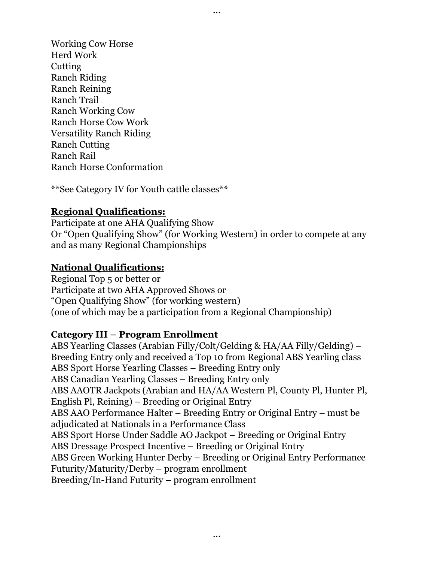Working Cow Horse Herd Work **Cutting** Ranch Riding Ranch Reining Ranch Trail Ranch Working Cow Ranch Horse Cow Work Versatility Ranch Riding Ranch Cutting Ranch Rail Ranch Horse Conformation

\*\*See Category IV for Youth cattle classes\*\*

# **Regional Qualifications:**

Participate at one AHA Qualifying Show Or "Open Qualifying Show" (for Working Western) in order to compete at any and as many Regional Championships

# **National Qualifications:**

Regional Top 5 or better or Participate at two AHA Approved Shows or "Open Qualifying Show" (for working western) (one of which may be a participation from a Regional Championship)

## **Category III – Program Enrollment**

ABS Yearling Classes (Arabian Filly/Colt/Gelding & HA/AA Filly/Gelding) – Breeding Entry only and received a Top 10 from Regional ABS Yearling class ABS Sport Horse Yearling Classes – Breeding Entry only ABS Canadian Yearling Classes – Breeding Entry only ABS AAOTR Jackpots (Arabian and HA/AA Western Pl, County Pl, Hunter Pl, English Pl, Reining) – Breeding or Original Entry ABS AAO Performance Halter – Breeding Entry or Original Entry – must be adjudicated at Nationals in a Performance Class ABS Sport Horse Under Saddle AO Jackpot – Breeding or Original Entry ABS Dressage Prospect Incentive – Breeding or Original Entry ABS Green Working Hunter Derby – Breeding or Original Entry Performance Futurity/Maturity/Derby – program enrollment Breeding/In-Hand Futurity – program enrollment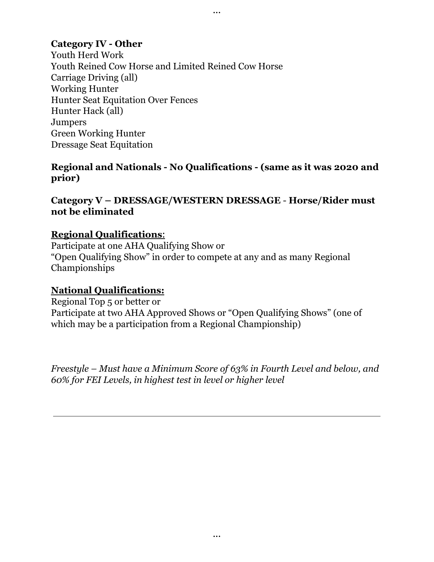# **Category IV - Other**

Youth Herd Work Youth Reined Cow Horse and Limited Reined Cow Horse Carriage Driving (all) Working Hunter Hunter Seat Equitation Over Fences Hunter Hack (all) Jumpers Green Working Hunter Dressage Seat Equitation

## **Regional and Nationals - No Qualifications - (same as it was 2020 and prior)**

...

**Category V – DRESSAGE/WESTERN DRESSAGE** - **Horse/Rider must not be eliminated**

## **Regional Qualifications**:

Participate at one AHA Qualifying Show or "Open Qualifying Show" in order to compete at any and as many Regional Championships

## **National Qualifications:**

Regional Top 5 or better or Participate at two AHA Approved Shows or "Open Qualifying Shows" (one of which may be a participation from a Regional Championship)

*Freestyle – Must have a Minimum Score of 63% in Fourth Level and below, and 60% for FEI Levels, in highest test in level or higher level*